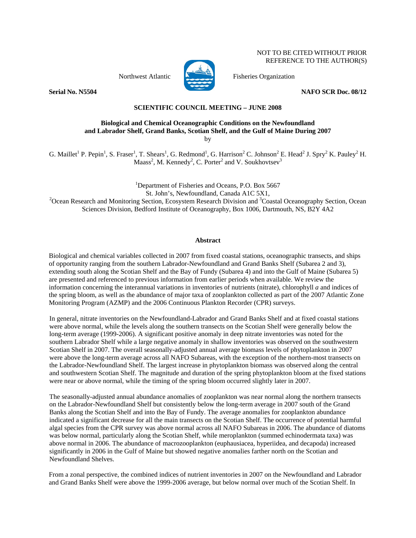NOT TO BE CITED WITHOUT PRIOR REFERENCE TO THE AUTHOR(S)



Northwest Atlantic Fisheries Organization

**Serial No. N5504** NAFO SCR Doc. 08/12

# **SCIENTIFIC COUNCIL MEETING – JUNE 2008**

## **Biological and Chemical Oceanographic Conditions on the Newfoundland and Labrador Shelf, Grand Banks, Scotian Shelf, and the Gulf of Maine During 2007**  by

G. Maillet<sup>1</sup> P. Pepin<sup>1</sup>, S. Fraser<sup>1</sup>, T. Shears<sup>1</sup>, G. Redmond<sup>1</sup>, G. Harrison<sup>2</sup> C. Johnson<sup>2</sup> E. Head<sup>2</sup> J. Spry<sup>2</sup> K. Pauley<sup>2</sup> H. Maass<sup>2</sup>, M. Kennedy<sup>2</sup>, C. Porter<sup>2</sup> and V. Soukhovtsev<sup>3</sup>

<sup>1</sup>Department of Fisheries and Oceans, P.O. Box 5667 St. John's, Newfoundland, Canada A1C 5X1,<br><sup>2</sup>Ocean Research and Monitoring Section, Ecosystem Research Division and <sup>3</sup>Coastal Oceanography Section, Ocean Sciences Division, Bedford Institute of Oceanography, Box 1006, Dartmouth, NS, B2Y 4A2

## **Abstract**

Biological and chemical variables collected in 2007 from fixed coastal stations, oceanographic transects, and ships of opportunity ranging from the southern Labrador-Newfoundland and Grand Banks Shelf (Subarea 2 and 3), extending south along the Scotian Shelf and the Bay of Fundy (Subarea 4) and into the Gulf of Maine (Subarea 5) are presented and referenced to previous information from earlier periods when available. We review the information concerning the interannual variations in inventories of nutrients (nitrate), chlorophyll *a* and indices of the spring bloom, as well as the abundance of major taxa of zooplankton collected as part of the 2007 Atlantic Zone Monitoring Program (AZMP) and the 2006 Continuous Plankton Recorder (CPR) surveys.

In general, nitrate inventories on the Newfoundland-Labrador and Grand Banks Shelf and at fixed coastal stations were above normal, while the levels along the southern transects on the Scotian Shelf were generally below the long-term average (1999-2006). A significant positive anomaly in deep nitrate inventories was noted for the southern Labrador Shelf while a large negative anomaly in shallow inventories was observed on the southwestern Scotian Shelf in 2007. The overall seasonally-adjusted annual average biomass levels of phytoplankton in 2007 were above the long-term average across all NAFO Subareas, with the exception of the northern-most transects on the Labrador-Newfoundland Shelf. The largest increase in phytoplankton biomass was observed along the central and southwestern Scotian Shelf. The magnitude and duration of the spring phytoplankton bloom at the fixed stations were near or above normal, while the timing of the spring bloom occurred slightly later in 2007.

The seasonally-adjusted annual abundance anomalies of zooplankton was near normal along the northern transects on the Labrador-Newfoundland Shelf but consistently below the long-term average in 2007 south of the Grand Banks along the Scotian Shelf and into the Bay of Fundy. The average anomalies for zooplankton abundance indicated a significant decrease for all the main transects on the Scotian Shelf. The occurrence of potential harmful algal species from the CPR survey was above normal across all NAFO Subareas in 2006. The abundance of diatoms was below normal, particularly along the Scotian Shelf, while meroplankton (summed echinodermata taxa) was above normal in 2006. The abundance of macrozooplankton (euphausiacea, hyperiidea, and decapoda) increased significantly in 2006 in the Gulf of Maine but showed negative anomalies farther north on the Scotian and Newfoundland Shelves.

From a zonal perspective, the combined indices of nutrient inventories in 2007 on the Newfoundland and Labrador and Grand Banks Shelf were above the 1999-2006 average, but below normal over much of the Scotian Shelf. In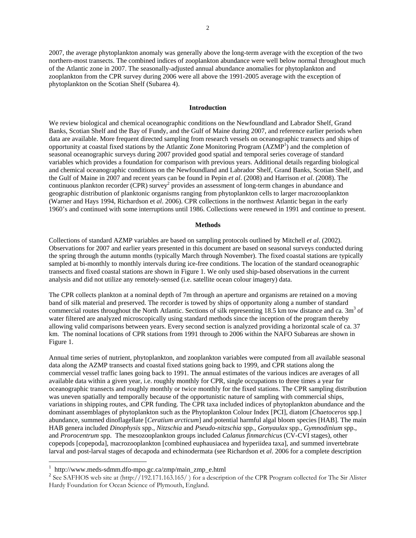2007, the average phytoplankton anomaly was generally above the long-term average with the exception of the two northern-most transects. The combined indices of zooplankton abundance were well below normal throughout much of the Atlantic zone in 2007. The seasonally-adjusted annual abundance anomalies for phytoplankton and zooplankton from the CPR survey during 2006 were all above the 1991-2005 average with the exception of phytoplankton on the Scotian Shelf (Subarea 4).

## **Introduction**

We review biological and chemical oceanographic conditions on the Newfoundland and Labrador Shelf, Grand Banks, Scotian Shelf and the Bay of Fundy, and the Gulf of Maine during 2007, and reference earlier periods when data are available. More frequent directed sampling from research vessels on oceanographic transects and ships of opportunity at coastal fixed stations by the Atlantic Zone Monitoring Program  $(AZMP<sup>1</sup>)$  and the completion of seasonal oceanographic surveys during 2007 provided good spatial and temporal series coverage of standard variables which provides a foundation for comparison with previous years. Additional details regarding biological and chemical oceanographic conditions on the Newfoundland and Labrador Shelf, Grand Banks, Scotian Shelf, and the Gulf of Maine in 2007 and recent years can be found in Pepin *et al*. (2008) and Harrison *et al*. (2008). The continuous plankton recorder (CPR) survey<sup>2</sup> provides an assessment of long-term changes in abundance and geographic distribution of planktonic organisms ranging from phytoplankton cells to larger macrozooplankton (Warner and Hays 1994, Richardson et *al*. 2006). CPR collections in the northwest Atlantic began in the early 1960's and continued with some interruptions until 1986. Collections were renewed in 1991 and continue to present.

#### **Methods**

Collections of standard AZMP variables are based on sampling protocols outlined by Mitchell *et al*. (2002). Observations for 2007 and earlier years presented in this document are based on seasonal surveys conducted during the spring through the autumn months (typically March through November). The fixed coastal stations are typically sampled at bi-monthly to monthly intervals during ice-free conditions. The location of the standard oceanographic transects and fixed coastal stations are shown in Figure 1. We only used ship-based observations in the current analysis and did not utilize any remotely-sensed (i.e. satellite ocean colour imagery) data.

The CPR collects plankton at a nominal depth of 7m through an aperture and organisms are retained on a moving band of silk material and preserved. The recorder is towed by ships of opportunity along a number of standard commercial routes throughout the North Atlantic. Sections of silk representing 18.5 km tow distance and ca. 3m<sup>3</sup> of water filtered are analyzed microscopically using standard methods since the inception of the program thereby allowing valid comparisons between years. Every second section is analyzed providing a horizontal scale of ca. 37 km. The nominal locations of CPR stations from 1991 through to 2006 within the NAFO Subareas are shown in Figure 1.

Annual time series of nutrient, phytoplankton, and zooplankton variables were computed from all available seasonal data along the AZMP transects and coastal fixed stations going back to 1999, and CPR stations along the commercial vessel traffic lanes going back to 1991. The annual estimates of the various indices are averages of all available data within a given year, i.e. roughly monthly for CPR, single occupations to three times a year for oceanographic transects and roughly monthly or twice monthly for the fixed stations. The CPR sampling distribution was uneven spatially and temporally because of the opportunistic nature of sampling with commercial ships, variations in shipping routes, and CPR funding. The CPR taxa included indices of phytoplankton abundance and the dominant assemblages of phytoplankton such as the Phytoplankton Colour Index [PCI], diatom [*Chaetoceros* spp.] abundance, summed dinoflagellate [*Ceratium arcticum*] and potential harmful algal bloom species [HAB]. The main HAB genera included *Dinophysis* spp., *Nitzschia* and *Pseudo-nitzschia* spp., *Gonyaulax* spp., *Gymnodinium* spp., and *Prorocentrum* spp. The mesozooplankton groups included *Calanus finmarchicus* (CV-CVI stages), other copepods [copepoda], macrozooplankton [combined euphausiacea and hyperiidea taxa], and summed invertebrate larval and post-larval stages of decapoda and echinodermata (see Richardson et *al*. 2006 for a complete description

 $\overline{a}$ 

<sup>1</sup> http://www.meds-sdmm.dfo-mpo.gc.ca/zmp/main\_zmp\_e.html

<sup>&</sup>lt;sup>2</sup> See SAFHOS web site at (http://192.171.163.165/) for a description of the CPR Program collected for The Sir Alister Hardy Foundation for Ocean Science of Plymouth, England.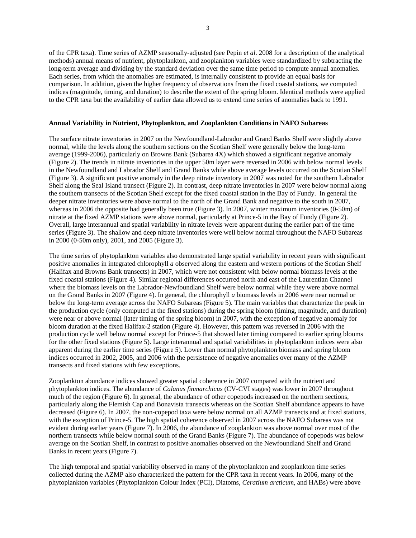of the CPR taxa**)**. Time series of AZMP seasonally-adjusted (see Pepin *et al*. 2008 for a description of the analytical methods) annual means of nutrient, phytoplankton, and zooplankton variables were standardized by subtracting the long-term average and dividing by the standard deviation over the same time period to compute annual anomalies. Each series, from which the anomalies are estimated, is internally consistent to provide an equal basis for comparison. In addition, given the higher frequency of observations from the fixed coastal stations, we computed indices (magnitude, timing, and duration) to describe the extent of the spring bloom. Identical methods were applied to the CPR taxa but the availability of earlier data allowed us to extend time series of anomalies back to 1991.

## **Annual Variability in Nutrient, Phytoplankton, and Zooplankton Conditions in NAFO Subareas**

The surface nitrate inventories in 2007 on the Newfoundland-Labrador and Grand Banks Shelf were slightly above normal, while the levels along the southern sections on the Scotian Shelf were generally below the long-term average (1999-2006), particularly on Browns Bank (Subarea 4X) which showed a significant negative anomaly (Figure 2). The trends in nitrate inventories in the upper 50m layer were reversed in 2006 with below normal levels in the Newfoundland and Labrador Shelf and Grand Banks while above average levels occurred on the Scotian Shelf (Figure 3). A significant positive anomaly in the deep nitrate inventory in 2007 was noted for the southern Labrador Shelf along the Seal Island transect (Figure 2). In contrast, deep nitrate inventories in 2007 were below normal along the southern transects of the Scotian Shelf except for the fixed coastal station in the Bay of Fundy. In general the deeper nitrate inventories were above normal to the north of the Grand Bank and negative to the south in 2007, whereas in 2006 the opposite had generally been true (Figure 3). In 2007, winter maximum inventories (0-50m) of nitrate at the fixed AZMP stations were above normal, particularly at Prince-5 in the Bay of Fundy (Figure 2). Overall, large interannual and spatial variability in nitrate levels were apparent during the earlier part of the time series (Figure 3). The shallow and deep nitrate inventories were well below normal throughout the NAFO Subareas in 2000 (0-50m only), 2001, and 2005 (Figure 3).

The time series of phytoplankton variables also demonstrated large spatial variability in recent years with significant positive anomalies in integrated chlorophyll *a* observed along the eastern and western portions of the Scotian Shelf (Halifax and Browns Bank transects) in 2007, which were not consistent with below normal biomass levels at the fixed coastal stations (Figure 4). Similar regional differences occurred north and east of the Laurentian Channel where the biomass levels on the Labrador-Newfoundland Shelf were below normal while they were above normal on the Grand Banks in 2007 (Figure 4). In general, the chlorophyll *a* biomass levels in 2006 were near normal or below the long-term average across the NAFO Subareas (Figure 5). The main variables that characterize the peak in the production cycle (only computed at the fixed stations) during the spring bloom (timing, magnitude, and duration) were near or above normal (later timing of the spring bloom) in 2007, with the exception of negative anomaly for bloom duration at the fixed Halifax-2 station (Figure 4). However, this pattern was reversed in 2006 with the production cycle well below normal except for Prince-5 that showed later timing compared to earlier spring blooms for the other fixed stations (Figure 5). Large interannual and spatial variabilities in phytoplankton indices were also apparent during the earlier time series (Figure 5). Lower than normal phytoplankton biomass and spring bloom indices occurred in 2002, 2005, and 2006 with the persistence of negative anomalies over many of the AZMP transects and fixed stations with few exceptions.

Zooplankton abundance indices showed greater spatial coherence in 2007 compared with the nutrient and phytoplankton indices. The abundance of *Calanus finmarchicus* (CV-CVI stages) was lower in 2007 throughout much of the region (Figure 6). In general, the abundance of other copepods increased on the northern sections, particularly along the Flemish Cap and Bonavista transects whereas on the Scotian Shelf abundance appears to have decreased (Figure 6). In 2007, the non-copepod taxa were below normal on all AZMP transects and at fixed stations, with the exception of Prince-5. The high spatial coherence observed in 2007 across the NAFO Subareas was not evident during earlier years (Figure 7). In 2006, the abundance of zooplankton was above normal over most of the northern transects while below normal south of the Grand Banks (Figure 7). The abundance of copepods was below average on the Scotian Shelf, in contrast to positive anomalies observed on the Newfoundland Shelf and Grand Banks in recent years (Figure 7).

The high temporal and spatial variability observed in many of the phytoplankton and zooplankton time series collected during the AZMP also characterized the pattern for the CPR taxa in recent years. In 2006, many of the phytoplankton variables (Phytoplankton Colour Index (PCI), Diatoms, *Ceratium arcticum*, and HABs) were above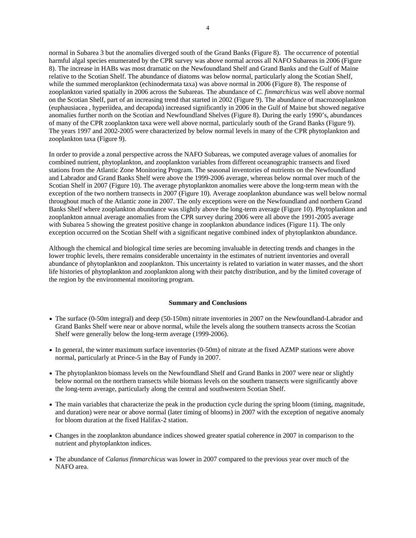normal in Subarea 3 but the anomalies diverged south of the Grand Banks (Figure 8). The occurrence of potential harmful algal species enumerated by the CPR survey was above normal across all NAFO Subareas in 2006 (Figure 8). The increase in HABs was most dramatic on the Newfoundland Shelf and Grand Banks and the Gulf of Maine relative to the Scotian Shelf. The abundance of diatoms was below normal, particularly along the Scotian Shelf, while the summed meroplankton (echinodermata taxa) was above normal in 2006 (Figure 8). The response of zooplankton varied spatially in 2006 across the Subareas. The abundance of *C. finmarchicus* was well above normal on the Scotian Shelf, part of an increasing trend that started in 2002 (Figure 9). The abundance of macrozooplankton (euphausiacea , hyperiidea, and decapoda) increased significantly in 2006 in the Gulf of Maine but showed negative anomalies further north on the Scotian and Newfoundland Shelves (Figure 8). During the early 1990's, abundances of many of the CPR zooplankton taxa were well above normal, particularly south of the Grand Banks (Figure 9). The years 1997 and 2002-2005 were characterized by below normal levels in many of the CPR phytoplankton and zooplankton taxa (Figure 9).

In order to provide a zonal perspective across the NAFO Subareas, we computed average values of anomalies for combined nutrient, phytoplankton, and zooplankton variables from different oceanographic transects and fixed stations from the Atlantic Zone Monitoring Program. The seasonal inventories of nutrients on the Newfoundland and Labrador and Grand Banks Shelf were above the 1999-2006 average, whereas below normal over much of the Scotian Shelf in 2007 (Figure 10). The average phytoplankton anomalies were above the long-term mean with the exception of the two northern transects in 2007 (Figure 10). Average zooplankton abundance was well below normal throughout much of the Atlantic zone in 2007. The only exceptions were on the Newfoundland and northern Grand Banks Shelf where zooplankton abundance was slightly above the long-term average (Figure 10). Phytoplankton and zooplankton annual average anomalies from the CPR survey during 2006 were all above the 1991-2005 average with Subarea 5 showing the greatest positive change in zooplankton abundance indices (Figure 11). The only exception occurred on the Scotian Shelf with a significant negative combined index of phytoplankton abundance.

Although the chemical and biological time series are becoming invaluable in detecting trends and changes in the lower trophic levels, there remains considerable uncertainty in the estimates of nutrient inventories and overall abundance of phytoplankton and zooplankton. This uncertainty is related to variation in water masses, and the short life histories of phytoplankton and zooplankton along with their patchy distribution, and by the limited coverage of the region by the environmental monitoring program.

### **Summary and Conclusions**

- The surface (0-50m integral) and deep (50-150m) nitrate inventories in 2007 on the Newfoundland-Labrador and Grand Banks Shelf were near or above normal, while the levels along the southern transects across the Scotian Shelf were generally below the long-term average (1999-2006).
- In general, the winter maximum surface inventories (0-50m) of nitrate at the fixed AZMP stations were above normal, particularly at Prince-5 in the Bay of Fundy in 2007.
- The phytoplankton biomass levels on the Newfoundland Shelf and Grand Banks in 2007 were near or slightly below normal on the northern transects while biomass levels on the southern transects were significantly above the long-term average, particularly along the central and southwestern Scotian Shelf.
- The main variables that characterize the peak in the production cycle during the spring bloom (timing, magnitude, and duration) were near or above normal (later timing of blooms) in 2007 with the exception of negative anomaly for bloom duration at the fixed Halifax-2 station.
- Changes in the zooplankton abundance indices showed greater spatial coherence in 2007 in comparison to the nutrient and phytoplankton indices.
- The abundance of *Calanus finmarchicus* was lower in 2007 compared to the previous year over much of the NAFO area.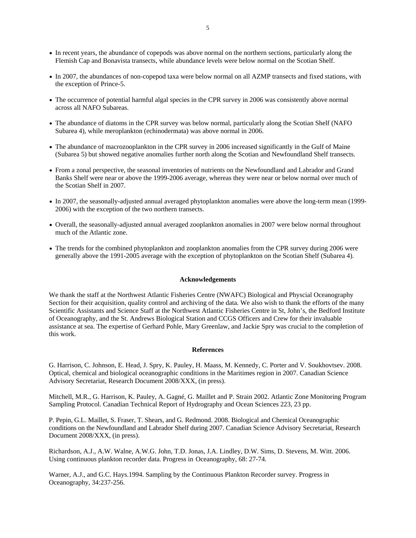- In recent years, the abundance of copepods was above normal on the northern sections, particularly along the Flemish Cap and Bonavista transects, while abundance levels were below normal on the Scotian Shelf.
- In 2007, the abundances of non-copepod taxa were below normal on all AZMP transects and fixed stations, with the exception of Prince-5.
- The occurrence of potential harmful algal species in the CPR survey in 2006 was consistently above normal across all NAFO Subareas.
- The abundance of diatoms in the CPR survey was below normal, particularly along the Scotian Shelf (NAFO Subarea 4), while meroplankton (echinodermata) was above normal in 2006.
- The abundance of macrozooplankton in the CPR survey in 2006 increased significantly in the Gulf of Maine (Subarea 5) but showed negative anomalies further north along the Scotian and Newfoundland Shelf transects.
- From a zonal perspective, the seasonal inventories of nutrients on the Newfoundland and Labrador and Grand Banks Shelf were near or above the 1999-2006 average, whereas they were near or below normal over much of the Scotian Shelf in 2007.
- In 2007, the seasonally-adjusted annual averaged phytoplankton anomalies were above the long-term mean (1999- 2006) with the exception of the two northern transects.
- Overall, the seasonally-adjusted annual averaged zooplankton anomalies in 2007 were below normal throughout much of the Atlantic zone.
- The trends for the combined phytoplankton and zooplankton anomalies from the CPR survey during 2006 were generally above the 1991-2005 average with the exception of phytoplankton on the Scotian Shelf (Subarea 4).

#### **Acknowledgements**

We thank the staff at the Northwest Atlantic Fisheries Centre (NWAFC) Biological and Physcial Oceanography Section for their acquisition, quality control and archiving of the data. We also wish to thank the efforts of the many Scientific Assistants and Science Staff at the Northwest Atlantic Fisheries Centre in St, John's, the Bedford Institute of Oceanography, and the St. Andrews Biological Station and CCGS Officers and Crew for their invaluable assistance at sea. The expertise of Gerhard Pohle, Mary Greenlaw, and Jackie Spry was crucial to the completion of this work.

### **References**

G. Harrison, C. Johnson, E. Head, J. Spry, K. Pauley, H. Maass, M. Kennedy, C. Porter and V. Soukhovtsev. 2008. Optical, chemical and biological oceanographic conditions in the Maritimes region in 2007. Canadian Science Advisory Secretariat, Research Document 2008/XXX, (in press).

Mitchell, M.R., G. Harrison, K. Pauley, A. Gagné, G. Maillet and P. Strain 2002. Atlantic Zone Monitoring Program Sampling Protocol. Canadian Technical Report of Hydrography and Ocean Sciences 223, 23 pp.

P. Pepin, G.L. Maillet, S. Fraser, T. Shears, and G. Redmond. 2008. Biological and Chemical Oceanographic conditions on the Newfoundland and Labrador Shelf during 2007. Canadian Science Advisory Secretariat, Research Document 2008/XXX, (in press).

Richardson, A.J., A.W. Walne, A.W.G. John, T.D. Jonas, J.A. Lindley, D.W. Sims, D. Stevens, M. Witt. 2006. Using continuous plankton recorder data. Progress in Oceanography, 68: 27-74.

Warner, A.J., and G.C. Hays.1994. Sampling by the Continuous Plankton Recorder survey. Progress in Oceanography, 34:237-256.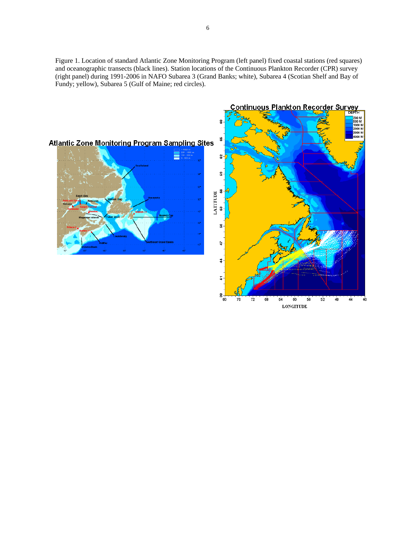Figure 1. Location of standard Atlantic Zone Monitoring Program (left panel) fixed coastal stations (red squares) and oceanographic transects (black lines). Station locations of the Continuous Plankton Recorder (CPR) survey (right panel) during 1991-2006 in NAFO Subarea 3 (Grand Banks; white), Subarea 4 (Scotian Shelf and Bay of Fundy; yellow), Subarea 5 (Gulf of Maine; red circles).

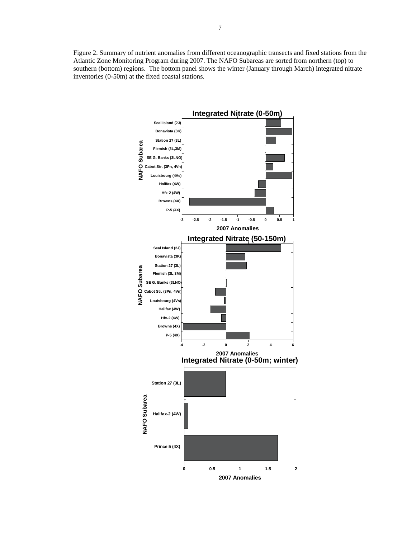Figure 2. Summary of nutrient anomalies from different oceanographic transects and fixed stations from the Atlantic Zone Monitoring Program during 2007. The NAFO Subareas are sorted from northern (top) to southern (bottom) regions. The bottom panel shows the winter (January through March) integrated nitrate inventories (0-50m) at the fixed coastal stations.

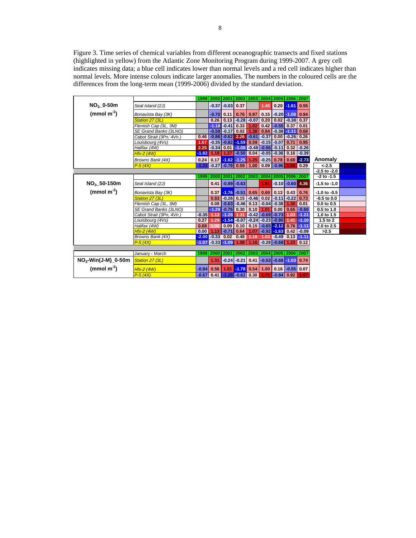Figure 3. Time series of chemical variables from different oceanographic transects and fixed stations (highlighted in yellow) from the Atlantic Zone Monitoring Program during 1999-2007. A grey cell indicates missing data; a blue cell indicates lower than normal levels and a red cell indicates higher than normal levels. More intense colours indicate larger anomalies. The numbers in the coloured cells are the differences from the long-term mean (1999-2006) divided by the standard deviation.

|                         |                         |         | 1999   2000   2001   2002   2003   2004   2005   2006   2007 |                 |                                |                                         |                      |                                    |                      |                |                  |
|-------------------------|-------------------------|---------|--------------------------------------------------------------|-----------------|--------------------------------|-----------------------------------------|----------------------|------------------------------------|----------------------|----------------|------------------|
| $NO3$ _0-50m            | Seal Island (2J)        |         |                                                              |                 | $-0.37$ $-0.03$ 0.37           |                                         | 1.45                 |                                    | $0.20$ -1.61 0.55    |                |                  |
| (mmol $m-2$ )           | Bonavista Bay (3K)      |         | $-0.70$                                                      | 0.11            | 0.76                           | 0.97                                    |                      | $0.15$ $-0.20$ $-1.08$             |                      | 0.94           |                  |
|                         | Station 27 (3L)         |         | 0.26                                                         | 0.13            |                                | $-0.28 - 0.07$                          | 0.20                 |                                    | $0.02$ $-0.38$ 0.37  |                |                  |
|                         | Flemish Cap (3L, 3M)    |         |                                                              | $-1.18 - 0.41$  | 0.33                           | 1.02                                    | 0.42                 | $-0.55$                            | 0.37                 | 0.01           |                  |
|                         | SE Grand Banks (3LNO)   |         |                                                              | $-0.58 - 0.17$  | 0.02                           | 1.38                                    |                      | $0.84$ $-0.38$                     | $-1.11$              | 0.68           |                  |
|                         | Cabot Strait (3Pn, 4Vn) | 0.46    |                                                              |                 | $-0.86$ $-0.62$ $2.26$ $-0.61$ |                                         |                      | $-0.37$ 0.00 $-0.26$ 0.26          |                      |                |                  |
|                         | Louisbourg (4Vs)        | 1.67    |                                                              |                 | $-0.35$ $-0.82$ $-1.59$ 0.59   |                                         |                      | $-0.15$ $-0.07$                    | 0.71                 | 0.95           |                  |
|                         | Halifax (4W)            | 2.25    | $-0.34$                                                      | 0.01            | $-1.08$                        | $-0.48$                                 |                      | $-0.56 - 0.11$                     | 0.32                 | $-0.26$        |                  |
|                         | <b>Hfx-2 (4W)</b>       | $-1.82$ | 1.18                                                         | 1.37            |                                | $-0.50$ 0.04                            |                      | $-0.05$ $-0.36$                    |                      | $0.16$ $-0.39$ |                  |
|                         | Browns Bank (4X)        | 0.24    |                                                              |                 | $0.17 - 1.62 - 1.25$           | 1.25                                    | $-0.25$              | 0.78                               | 0.69                 | $-2.73$        | Anomaly          |
|                         | $P-5(4X)$               | $-1.23$ |                                                              |                 | $-0.27$ $-0.79$ 0.59           | 1.00                                    |                      | $0.09$ $-0.96$                     | 1.58                 | 0.29           | $< -2.5$         |
|                         |                         |         |                                                              |                 |                                |                                         |                      |                                    |                      |                | $-2.5$ to $-2.0$ |
|                         |                         | 1999    |                                                              | 2000 2001       |                                | 2002 2003                               |                      | 2004 2005 2006 2007                |                      |                | $-2$ to $-1.5$   |
| NO <sub>3</sub> 50-150m | Seal Island (2J)        |         | 0.41                                                         |                 | $-0.89$ $-0.63$                |                                         | 1.81                 |                                    | $-0.10$ $-0.60$ 4.36 |                | $-1.5$ to $-1.0$ |
| (mmol $m-2$ )           | Bonavista Bay (3K)      |         | 0.37                                                         |                 | $-1.76 - 0.51$                 | 0.65                                    | 0.69                 | 0.13                               | 0.43                 | 0.76           | $-1.0$ to $-0.5$ |
|                         | Station 27 (3L)         |         | 0.83                                                         | $-0.26$         | 0.15                           | $-0.46$                                 | 0.02                 | $-0.11$                            | $-0.22$              | 0.73           | $-0.5$ to $0.0$  |
|                         | Flemish Cap (3L, 3M)    |         | 0.08                                                         |                 | $-0.63 - 0.46$                 | 0.13                                    |                      | $-0.04$ $-0.38$                    | 1.30                 | 0.01           | $0.0$ to $0.5$   |
|                         | SE Grand Banks (3LNO)   |         |                                                              |                 | $-1.29 - 0.76 0.30$            | 0.10                                    | 1.01                 | 0.00                               | 0.65                 | $-0.60$        | 0.5 to 1.0       |
|                         | Cabot Strait (3Pn, 4Vn) | $-0.35$ | 1.12                                                         | $-1.28$         | 1.31                           | $-0.42$                                 |                      | $-0.69$ $-0.73$                    | 1.03                 | $-1.21$        | 1.0 to 1.5       |
|                         | Louisbourg (4Vs)        | 0.27    | 1.29                                                         | $-1.54$         |                                | $-0.07$ $-0.24$ $-0.23$ $-0.90$         |                      |                                    | 1.41                 | $-1.10$        | 1.5 to 2         |
|                         | Halifax (4W)            | 0.68    | 1.00                                                         | 0.09            | 0.10                           |                                         | $0.15 - 0.65 - 2.12$ |                                    | 0.76                 | $-1.11$        | 2.0 to 2.5       |
|                         | $Hfx-2$ (4W)            | 0.00    | 1.13                                                         | $-0.71$         | 0.64                           | 1.07                                    |                      | $-0.92 - 1.63$                     | 0.42                 | $-0.09$        | >2.5             |
|                         | Browns Bank (4X)        | $-2.00$ | $-0.33$                                                      | 0.02            | 0.48                           | 1.16                                    | 1.03                 | $\overline{0.49}$                  | 0.13                 | $-1.11$        |                  |
|                         | $P - 5(4X)$             | $-1.07$ |                                                              | $-0.33$ $-1.09$ | 1.08                           | 1.16                                    |                      | $-0.28$ $-0.68$ 1.23               |                      | 0.12           |                  |
|                         |                         |         |                                                              |                 |                                |                                         |                      |                                    |                      |                |                  |
|                         | January - March         | 1999    | 2000 2001                                                    |                 |                                | 2002   2003   2004   2005   2006   2007 |                      |                                    |                      |                |                  |
| $NO3$ -Win(J-M) 0-50m   | Station 27 (3L)         |         | 1.31                                                         |                 | $-0.24$ $-0.21$                | 0.41                                    |                      | $-0.53$ $-0.68$ $-1.03$            |                      | 0.74           |                  |
| (mmol $m-2$ )           | $Hfx-2$ (4W)            | $-0.94$ | 0.56                                                         |                 | $1.01$ -1.78 0.54              |                                         | 1.00                 |                                    | $0.16$ $-0.55$ 0.07  |                |                  |
|                         | $P-5(4X)$               |         | -0.67 0.41 -1.20 -0.62 0.30                                  |                 |                                |                                         | 1.71                 | $\vert$ -0.84 $\vert$ 0.92 $\vert$ |                      | 1.67           |                  |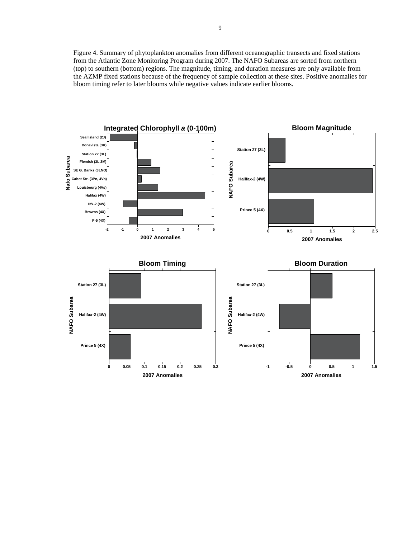Figure 4. Summary of phytoplankton anomalies from different oceanographic transects and fixed stations from the Atlantic Zone Monitoring Program during 2007. The NAFO Subareas are sorted from northern (top) to southern (bottom) regions. The magnitude, timing, and duration measures are only available from the AZMP fixed stations because of the frequency of sample collection at these sites. Positive anomalies for bloom timing refer to later blooms while negative values indicate earlier blooms.

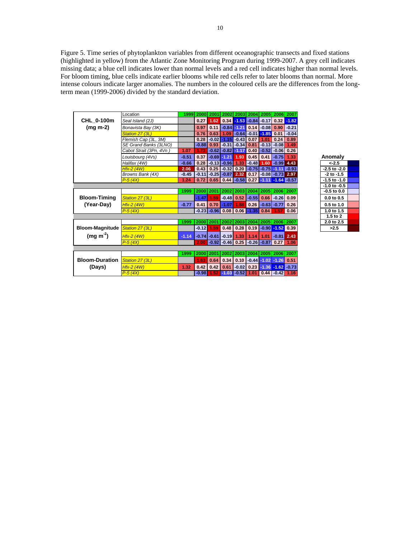Figure 5. Time series of phytoplankton variables from different oceanographic transects and fixed stations (highlighted in yellow) from the Atlantic Zone Monitoring Program during 1999-2007. A grey cell indicates missing data; a blue cell indicates lower than normal levels and a red cell indicates higher than normal levels. For bloom timing, blue cells indicate earlier blooms while red cells refer to later blooms than normal. More intense colours indicate larger anomalies. The numbers in the coloured cells are the differences from the longterm mean (1999-2006) divided by the standard deviation.

|                                 | Location                |         | 1999 2000 | 2001                   |                   |                                                     |                                                     |      |                      | 2002 2003 2004 2005 2006 2007                        |                  |
|---------------------------------|-------------------------|---------|-----------|------------------------|-------------------|-----------------------------------------------------|-----------------------------------------------------|------|----------------------|------------------------------------------------------|------------------|
| CHL 0-100m                      | Seal Island (2J)        |         | 0.27      | 1.62                   |                   |                                                     |                                                     |      |                      | $0.34$ $-1.53$ $-0.84$ $-0.17$ $0.32$ $-1.82$        |                  |
| $(mg m-2)$                      | Bonavista Bay (3K)      |         | 0.97      | 0.11                   |                   | $-0.84 - 1.21$                                      |                                                     |      | $0.14$ $-0.08$ 0.90  | $-0.21$                                              |                  |
|                                 | Station 27 (3L)         |         | 0.76      | 0.63                   | 1.09              |                                                     | $\sim$ 0.64 -0.01 -1.85 0.01                        |      |                      | $-0.04$                                              |                  |
|                                 | Flemish Cap (3L, 3M)    |         |           |                        |                   | $0.28$ $-0.02$ $-1.15$ $-0.43$ 0.07                 |                                                     | 1.01 | 0.24                 | 0.89                                                 |                  |
|                                 | SE Grand Banks (3LNO)   |         | $-0.88$   | 0.93                   |                   | $-0.31$ $-0.34$ $0.81$                              |                                                     |      | $-0.13$ $-0.08$ 1.49 |                                                      |                  |
|                                 | Cabot Strait (3Pn, 4Vn) | 1.07    | 1.73      |                        | $-0.62$ $-0.82$   | $-1.17$                                             | 0.40                                                |      | $-0.52$ $-0.06$ 0.26 |                                                      |                  |
|                                 | Louisbourg (4Vs)        | $-0.51$ | 0.37      |                        | $-0.69 - 1.21$    | 1.93                                                | 0.45                                                | 0.41 | $-0.75$              | 1.33                                                 | Anomaly          |
|                                 | Halifax (4W)            | $-0.66$ |           | $0.28$ $-0.13$ $-0.96$ |                   | 1.33                                                | $-0.48$                                             | 1.60 | $-0.99$ 4.43         |                                                      | $<-2.5$          |
|                                 | $Hfx-2$ (4W)            | 2.06    | 0.43      |                        | $0.25$ -0.32 0.20 |                                                     | $-0.75$ $-0.75$ $-1.11$                             |      |                      | $-0.93$                                              | $-2.5$ to $-2.0$ |
|                                 | Browns Bank (4X)        | $-0.45$ |           |                        |                   | $-0.11$ $-0.25$ $-0.87$ $2.32$ 0.17 $-0.08$ $-0.73$ |                                                     |      |                      | 2.97                                                 | $-2$ to $-1.5$   |
|                                 | $P - 5(4X)$             | 1.24    | 0.72      |                        |                   |                                                     |                                                     |      |                      | $0.65$   0.44   -0.58   0.27   -1.11   -1.64   -0.57 | $-1.5$ to $-1.0$ |
|                                 |                         |         |           |                        |                   |                                                     |                                                     |      |                      |                                                      | $-1.0$ to $-0.5$ |
|                                 |                         | 1999    | 2000 2001 |                        |                   | 2002 2003 2004 2005 2006 2007                       |                                                     |      |                      |                                                      | $-0.5$ to $0.0$  |
| <b>Bloom-Timing</b>             | Station 27 (3L)         |         | $-1.47$   | 1.59                   |                   | $-0.48$ 0.52                                        | $-0.55$                                             |      | $0.66$ -0.26 0.09    |                                                      | $0.0$ to $0.5$   |
| (Year-Day)                      | $Hfx-2$ (4W)            | $-0.77$ | 0.41      |                        | $0.70$ -1.07      | 1.88                                                | 0.26                                                |      | $-0.63$ $-0.77$      | 0.26                                                 | 0.5 to 1.0       |
|                                 | $P - 5(4X)$             |         |           |                        |                   | -0.23 -0.96  0.08   0.06 <mark> -1.35</mark>   0.84 |                                                     |      | 1.57                 | 0.06                                                 | 1.0 to 1.5       |
|                                 |                         |         |           |                        |                   |                                                     |                                                     |      |                      |                                                      | 1.5 to 2         |
|                                 |                         | 1999    |           | 2000 2001              |                   |                                                     |                                                     |      |                      | 2002   2003   2004   2005   2006   2007              | 2.0 to 2.5       |
| Bloom-Magnitude Station 27 (3L) |                         |         | $-0.12$   |                        | $1.59$ 0.48       | 0.28                                                | 0.19                                                |      | $-0.90$ $-1.52$ 0.39 |                                                      | >2.5             |
| (mg m <sup>2</sup> )            | $Hfx-2$ (4W)            | $-1.14$ |           |                        |                   | $-0.74$ $-0.61$ $-0.19$ 1.33                        | 1.14                                                | 1.01 | $-0.81$ 2.43         |                                                      |                  |
|                                 | $P-5(4X)$               |         | 2.00      |                        |                   | $-0.92$ $-0.46$ 0.25 $-0.26$ $-0.87$ 0.27           |                                                     |      |                      | 1.06                                                 |                  |
|                                 |                         |         |           |                        |                   |                                                     |                                                     |      |                      |                                                      |                  |
|                                 |                         | 1999    | 2000      |                        |                   | 2001 2002 2003 2004 2005 2006 2007                  |                                                     |      |                      |                                                      |                  |
| Bloom-Duration Station 27 (3L)  |                         |         | 1.63      | 0.64                   | 0.34              | 0.10                                                | $-0.44$                                             |      | $-1.02 - 1.26$ 0.51  |                                                      |                  |
| (Days)                          | $Hfx-2$ (4W)            | 1.32    | 0.42      | 0.42                   | 0.61              |                                                     | $-0.02$ 0.23                                        |      |                      | $-1.36 - 1.62 - 0.73$                                |                  |
|                                 | $P - 5(4X)$             |         |           |                        |                   |                                                     | $-0.98$ 1.52 $-1.03$ $-0.52$ 1.01 0.44 $-0.42$ 1.16 |      |                      |                                                      |                  |

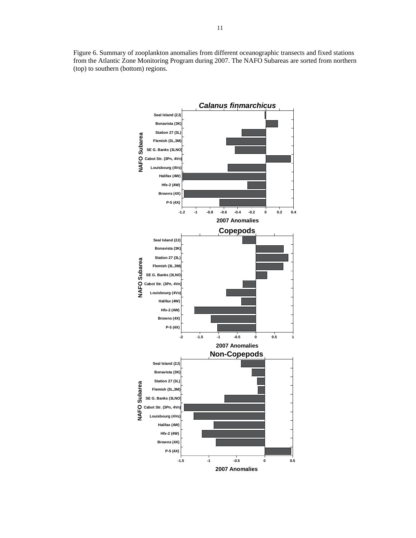Figure 6. Summary of zooplankton anomalies from different oceanographic transects and fixed stations from the Atlantic Zone Monitoring Program during 2007. The NAFO Subareas are sorted from northern (top) to southern (bottom) regions.

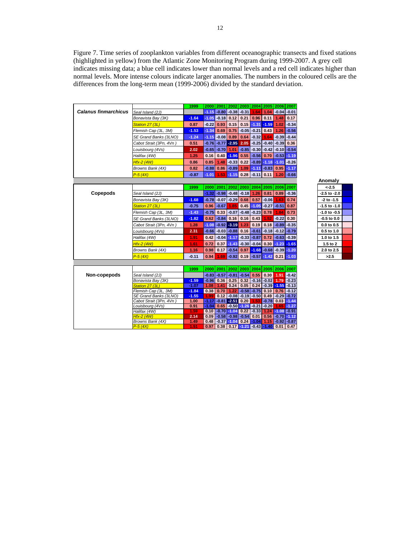Figure 7. Time series of zooplankton variables from different oceanographic transects and fixed stations (highlighted in yellow) from the Atlantic Zone Monitoring Program during 1999-2007. A grey cell indicates missing data; a blue cell indicates lower than normal levels and a red cell indicates higher than normal levels. More intense colours indicate larger anomalies. The numbers in the coloured cells are the differences from the long-term mean (1999-2006) divided by the standard deviation.

|                             |                                        | 1999         |         | 2000 2001       |                                         | 2002 2003       |                        | 2004 2005 2006 2007                          |                        |                          |                  |
|-----------------------------|----------------------------------------|--------------|---------|-----------------|-----------------------------------------|-----------------|------------------------|----------------------------------------------|------------------------|--------------------------|------------------|
| <b>Calanus finmarchicus</b> | Seal Island (2J)                       |              |         |                 | -1.15 -0.80 -0.38 -0.31 1.64            |                 |                        | 1.04                                         |                        | $-0.04$ $-0.01$          |                  |
|                             | Bonavista Bay (3K)                     | $-1.64$      |         | $-1.05 - 0.18$  | $0.12$ 0.21                             |                 | 0.96                   | 0.11                                         | 1.48                   | 0.17                     |                  |
|                             | Station 27 (3L)                        | 0.87         | $-0.22$ | 0.93            | 0.15                                    |                 | $0.15 - 1.31$          | $-1.59$                                      | 1.02                   | $-0.34$                  |                  |
|                             | Flemish Cap (3L, 3M)                   | $-1.53$      | $-1.34$ | 0.69            |                                         |                 | $0.75$ $-0.05$ $-0.21$ | 0.43                                         | 1.26                   | $-0.56$                  |                  |
|                             | SE Grand Banks (3LNO)                  | $-1.24$      | $-1.15$ | $-0.08$         | 0.89                                    | 0.64            | $-0.32$                | 1.64                                         |                        | $-0.39 - 0.44$           |                  |
|                             | Cabot Strait (3Pn, 4Vn)                | 0.51         |         |                 | $-0.76$ $-0.77$ $-2.95$                 | 2.05            | $-0.25$                | $-0.40$                                      | $-0.39$                | 0.36                     |                  |
|                             | Louisbourg (4Vs)                       | 2.02         |         | $-0.65$ $-0.70$ | 1.01                                    | $-0.85$         | $-0.30$                | $-0.42$                                      | $-0.10$                | $-0.54$                  |                  |
|                             | Halifax (4W)                           | 1.25         | 0.16    | 0.40            | $-1.96$                                 | 0.55            | $-0.56$                | 0.70                                         | $-0.53$                | $-1.19$                  |                  |
|                             | <b>Hfx-2 (4W)</b>                      | 0.86         | 0.85    | 1.48            | $-0.33$                                 | 0.22            | $-0.89$                | $-1.18$                                      | $-1.01$                | $-0.26$                  |                  |
|                             | Browns Bank (4X)                       | 0.82         | $-0.88$ | 0.86            | $-0.89$                                 | 1.09            |                        | $-1.11$ $-0.83$                              | 0.95                   | $-1.17$                  |                  |
|                             | $P - 5(4X)$                            | $-0.87$      | $-1.01$ | 1.53            |                                         | $-1.15$ 0.28    | $-0.11$                | 0.11                                         | 1.20                   | $-0.66$                  |                  |
|                             |                                        |              |         |                 |                                         |                 |                        |                                              |                        |                          | Anomaly          |
|                             |                                        | 1999         |         | 2000 2001       | 2002 2003                               |                 |                        | 2004 2005                                    |                        | 2006 2007                | $< -2.5$         |
| Copepods                    | Seal Island (2J)                       |              |         | $-1.32 - 0.98$  | $-0.48 - 0.18$ 1.26                     |                 |                        | 0.81                                         | 0.89                   | $-0.36$                  | $-2.5$ to $-2.0$ |
|                             | Bonavista Bay (3K)                     | $-1.68$      |         | $-0.78 - 0.07$  | $-0.29$                                 | 0.68            | 0.57                   | $-0.06$                                      | 1.63                   | 0.74                     | $-2$ to $-1.5$   |
|                             | Station 27 (3L)                        | $-0.75$      | 0.96    | $-0.67$         | 1.85                                    | 0.45            | $-1.05$                | $-0.27$                                      | $-0.51$                | 0.87                     | $-1.5$ to $-1.0$ |
|                             | Flemish Cap (3L, 3M)                   | $-1.43$      | $-0.75$ | 0.33            |                                         | $-0.07$ $-0.48$ | $-0.23$                | 0.78                                         | 1.84                   | 0.73                     | -1.0 to -0.5     |
|                             | SE Grand Banks (3LNO)                  | $-1.82$      | 0.62    | $-0.84$         | 0.16                                    | 0.16            | 0.43                   | 1.52                                         | $-0.22$                | 0.30                     | $-0.5$ to $0.0$  |
|                             | Cabot Strait (3Pn, 4Vn)                | 1.28         | $-1.08$ |                 | $-0.92 - 3.19$                          | 1.23            | 0.19                   | 0.18                                         | $-0.89$                | $-0.35$                  | $0.0$ to $0.5$   |
|                             | Louisbourg (4Vs)                       | 2.31         | $-0.66$ |                 | $-0.03 - 0.88 0.16$                     |                 | $-0.61$                | $-0.18$                                      |                        | $-0.12$ $-0.79$          | 0.5 to 1.0       |
|                             | Halifax (4W)                           | 1.91         | 0.42    |                 | $-0.04 - 1.17$                          | $-0.33$         | $-0.87$                | 0.72                                         |                        | $-0.63 - 0.39$           | 1.0 to 1.5       |
|                             | <b>Hfx-2 (4W)</b>                      | 1.61         | 0.72    | 0.37            |                                         |                 | $-1.43 - 0.30 - 0.04$  | 0.30                                         |                        | $-1.23 - 1.65$           | 1.5 to 2         |
|                             | Browns Bank (4X)                       | 1.16         | 0.98    |                 | $0.17 - 0.54$                           | 0.97            |                        | $-1.68 - 0.68 - 0.39 - 1.20$                 |                        |                          | 2.0 to 2.5       |
|                             | $P - 5(4X)$                            | $-0.11$      | 0.94    | 1.69            |                                         |                 |                        | $-0.92$ 0.19 $-0.57$ $-1.42$ 0.21            |                        | $-1.03$                  | >2.5             |
|                             |                                        |              |         |                 |                                         |                 |                        |                                              |                        |                          |                  |
|                             |                                        |              |         | 2000 2001       |                                         | 2002 2003       |                        | 2004 2005 2006 2007                          |                        |                          |                  |
| Non-copepods                |                                        | 1999         |         |                 |                                         |                 |                        |                                              |                        |                          |                  |
|                             | Seal Island (2J)<br>Bonavista Bay (3K) | $-1.59$      |         | $-0.96$ 0.36    | $-0.83$ $-0.57$ $-0.81$ $-0.54$<br>0.25 | 0.32            | 0.55                   | 0.30<br>$-0.16$ $-0.02$                      | 1.79                   | $1.91 - 0.42$<br>$-0.23$ |                  |
|                             | Station 27 (3L)                        | $-1.07$      | 1.08    | 1.41            | 0.24                                    | 0.05            | 0.24                   |                                              | $-0.39 - 1.55 - 0.13$  |                          |                  |
|                             | Flemish Cap (3L, 3M)                   | $-1.84$      |         | $0.38$ 0.70     |                                         |                 | $1.22$ -0.58 -0.75     | 0.10                                         | 0.76                   | $-0.12$                  |                  |
|                             | SE Grand Banks (3LNO)                  | $-1.55$      | 1.99    |                 | $0.12$ -0.08 -0.19 -0.50                |                 |                        |                                              | $0.49$ $-0.29$ $-0.72$ |                          |                  |
|                             | Cabot Strait (3Pn, 4Vn)                | 1.00         | $-1.17$ |                 | $-0.81 - 2.51$ 0.20                     |                 | 1.53                   | $-0.78$                                      | 0.03                   | $-1.44$                  |                  |
|                             | Louisbourg (4Vs)                       | 0.91         | $-1.04$ | 0.65            | $-0.50 - 1.26$                          |                 | $-0.21$                | $-0.20$                                      | 1.65                   | $-1.27$                  |                  |
|                             | Halifax (4W)                           | 1.59         |         |                 | $0.10$ -0.70 -1.04 0.22                 |                 | $-0.33$                |                                              | $1.24$ -1.08 -0.91     |                          |                  |
|                             | <b>Hfx-2 (4W)</b>                      | 2.14         |         |                 | $0.09$ -0.58 -0.98 -0.54 0.01           |                 |                        |                                              | $0.56$ $-0.70$ $-1.12$ |                          |                  |
|                             | Browns Bank (4X)<br>$P-5(4X)$          | 1.49<br>1.51 |         |                 | $0.48$ -0.37 -1.04 0.24 -1.04           |                 |                        | $0.97$ 0.38 0.17 -1.21 -0.43 -1.40 0.01 0.47 | $1.15$ $-0.92$ $-0.87$ |                          |                  |
|                             |                                        |              |         |                 |                                         |                 |                        |                                              |                        |                          |                  |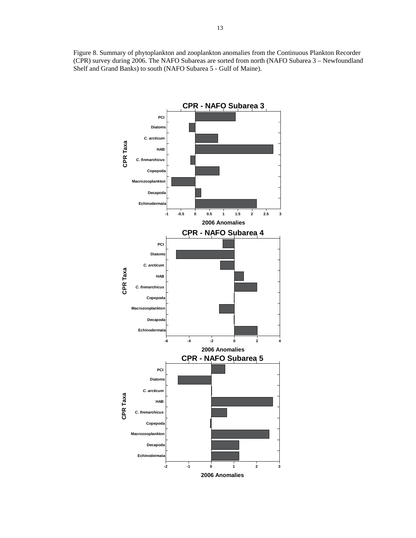Figure 8. Summary of phytoplankton and zooplankton anomalies from the Continuous Plankton Recorder (CPR) survey during 2006. The NAFO Subareas are sorted from north (NAFO Subarea 3 – Newfoundland Shelf and Grand Banks) to south (NAFO Subarea 5 - Gulf of Maine).

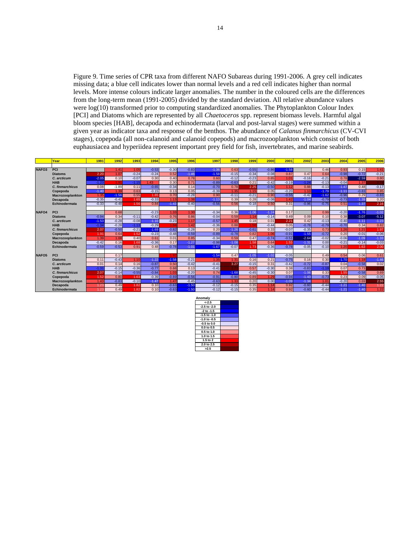Figure 9. Time series of CPR taxa from different NAFO Subareas during 1991-2006. A grey cell indicates missing data; a blue cell indicates lower than normal levels and a red cell indicates higher than normal levels. More intense colours indicate larger anomalies. The number in the coloured cells are the differences from the long-term mean (1991-2005) divided by the standard deviation. All relative abundance values were  $log(10)$  transformed prior to computing standardized anomalies. The Phytoplankton Colour Index [PCI] and Diatoms which are represented by all *Chaetoceros* spp. represent biomass levels. Harmful algal bloom species [HAB], decapoda and echinodermata (larval and post-larval stages) were summed within a given year as indicator taxa and response of the benthos. The abundance of *Calanus finmarchicus* (CV-CVI stages), copepoda (all non-calanoid and calanoid copepods) and macrozooplankton which consist of both euphausiacea and hyperiidea represent important prey field for fish, invertebrates, and marine seabirds.

|                   | Year                 | 1991    | 1992    | 1993    | 1994    | 1995    | 1996    | 1997    | 1998    | 1999    | 2000    | 2001    | 2002    | 2003    | 2004    | 2005    | 2006    |
|-------------------|----------------------|---------|---------|---------|---------|---------|---------|---------|---------|---------|---------|---------|---------|---------|---------|---------|---------|
|                   |                      |         |         |         |         |         |         |         |         |         |         |         |         |         |         |         |         |
| NAFO <sub>3</sub> | PCI                  |         | 1.41    | 1.05    | $-0.53$ | $-0.30$ | $-0.83$ | $-1.36$ | 0.63    | $-0.55$ | $-0.86$ | $-1.58$ |         | 0.46    | 0.93    | 0.15    | 1.41    |
|                   | <b>Diatoms</b>       | 2.20    | 1.07    | $-0.24$ | $-0.24$ | 0.52    | $-1.46$ | $-1.58$ | $-0.15$ | $-0.34$ | $-0.08$ | 0.87    | 0.47    | 0.64    | $-0.98$ | $-0.72$ | $-0.21$ |
|                   | C. arcticum          | $-2.05$ | 0.10    | $-0.07$ | 0.30    | 0.40    | 0.78    | 0.60    | $-0.12$ | $-0.23$ | 0.65    | 1.01    | $-0.16$ | $-0.21$ | 0.78    | $-2.59$ | 0.80    |
|                   | <b>HAB</b>           | $-1.23$ | 1.91    | $-1.15$ | 1.43    | 0.30    | 0.71    | $-0.89$ | $-0.63$ | 0.21    | $-0.42$ | $-0.19$ | $-1.24$ | $-0.13$ | $-0.04$ | 1.37    |         |
|                   | C. finmarchicus      | 0.08    | $-1.89$ | 0.11    | $-0.65$ | $-0.34$ | 0.14    | $-0.70$ | 0.78    | 2.25    | $-0.50$ | 1.12    | 0.88    | $-0.13$ | $-1.47$ | 0.48    | $-0.17$ |
|                   | Copepoda             | $-1.40$ | 1.39    | 0.63    | $-0.15$ | 0.13    | 0.05    | $-0.39$ | 1.35    | 1.15    | 0.05    | $-0.20$ | 1.10    | $-1.79$ | $-1.11$ | $-0.83$ | 0.85    |
|                   | Macrozooplankton     | 1.35    | $-1.56$ | 0.55    | 1.85    | 0.70    | $-0.28$ | 0.90    | $-0.11$ | $-0.21$ | 0.90    | $-0.55$ | $-0.42$ | $-1.62$ | $-0.96$ | 0.29    | $-0.83$ |
|                   | Decapoda             | $-0.35$ | $-0.41$ | 1.65    | $-0.33$ | 1.13    | 1.38    | $-1.13$ | 0.39    | 0.28    | $-0.08$ | 1.42    | $-1.04$ | $-0.79$ | $-0.73$ | $-1.39$ | 0.20    |
|                   | <b>Echinodermata</b> | $-0.33$ | $-0.48$ | 1.56    | 0.84    | $-1.43$ | $-0.40$ | $-0.56$ | 0.56    | $-0.18$ | 0.50    | 0.31    | $-0.96$ | $-0.75$ | 0.51    | $-1.37$ | 2.16    |
|                   |                      |         |         |         |         |         |         |         |         |         |         |         |         |         |         |         |         |
| NAFO <sub>4</sub> | PCI                  |         | 0.68    |         | $-0.23$ | 1.33    | 1.30    | $-0.34$ | 0.36    | $-1.06$ | $-1.24$ | 0.17    |         | 0.99    | $-0.20$ | $-1.76$ | $-1.02$ |
|                   | <b>Diatoms</b>       | $-0.94$ | 0.34    | $-0.11$ | $-0.42$ | 0.76    | 0.86    | $-0.04$ | 0.59    | 1.14    | $-0.14$ | 0.49    | 0.09    | 0.10    | 0.38    | $-3.07$ | $-5.12$ |
|                   | C. arcticum          | $-1.53$ | $-0.28$ | $-0.08$ | $-1.10$ | $-0.23$ | 1.17    | $-0.57$ | 1.45    | 0.18    | 0.01    | 2.21    | 0.42    | $-0.13$ | $-0.40$ | $-1.11$ | $-1.23$ |
|                   | <b>HAB</b>           | $-1.34$ | $-0.28$ | $-1.13$ | $-0.29$ | 1.8     | 1.42    | $-0.36$ | 0.88    | 1.56    | $-0.44$ | 0.05    | $-0.78$ | $-0.79$ | $-0.70$ | 0.34    | 0.82    |
|                   | C. finmarchicus      | 2.07    | $-0.50$ | $-0.21$ | $-1.69$ | $-0.82$ | $-0.28$ | 0.20    | $-1.26$ | $-0.61$ | 0.33    | $-0.07$ | $-0.35$ | 0.73    | 1.26    | 1.21    | 1.97    |
|                   | Copepoda             | 1.91    | 0.64    | 1.52    | $-0.23$ | $-0.48$ | $-0.59$ | $-0.89$ | $-0.78$ | 0.82    | 1.06    | $-0.91$ | $-1.55$ | $-0.72$ | 0.20    | $-0.01$ | $-0.06$ |
|                   | Macrozooplankton     | 1.39    | 1.08    | 0.40    | 0.61    | 0.01    | 0.85    | $-0.34$ | 0.59    | 0.47    | $-0.74$ | $-0.51$ | $-2.64$ | $-0.02$ | $-0.06$ | $-1.09$ | $-1.33$ |
|                   | Decapoda             | $-0.42$ | 0.16    | 1.68    | $-0.36$ | 0.17    | $-1.27$ | $-0.98$ | $-1.08$ | 1.58    | 0.64    | 1.55    | $-1.31$ | 0.00    | $-0.21$ | $-0.14$ | $-0.03$ |
|                   | Echinodermata        | $-0.59$ | $-0.53$ | 0.91    | 0.48    | $-0.78$ | $-1.01$ | $-1.67$ | $-0.07$ | 1.73    | $-0.36$ | $-0.78$ | $-0.05$ | $-0.10$ | 1.20    | 1.63    | 2.00    |
|                   |                      |         |         |         |         |         |         |         |         |         |         |         |         |         |         |         |         |
| NAFO <sub>5</sub> | PCI                  |         | 0.17    |         |         | 1.9     |         | $-1.54$ | 0.47    | $-1.05$ | $-1.02$ | $-0.05$ |         | 0.49    | 0.54    | 0.06    | 0.61    |
|                   | <b>Diatoms</b>       | 0.11    | $-0.43$ | 1.10    | $-1.22$ | $-1.58$ | $-0.21$ | 1.35    | 1.31    | 0.16    | 0.21    | $-0.75$ | 0.16    | 0.30    | $-1.70$ | 1.18    | $-1.46$ |
|                   | C. arcticum          | 0.01    | 0.14    | 0.16    | $-0.87$ | 0.50    | $-0.42$ | $-0.41$ | 3.27    | $-0.15$ | 0.31    | $-0.42$ | $-0.72$ | $-0.87$ | 0.04    | $-0.58$ | 0.02    |
|                   | <b>HAB</b>           | $-1.31$ | $-0.15$ | $-0.36$ | $-0.77$ | 0.68    | 0.13    | $-0.41$ |         | 0.57    | $-0.30$ | 0.38    | $-0.83$ | $-1.19$ | 0.07    | 0.73    |         |
|                   | C. finmarchicus      | 2.07    | $-0.14$ | $-0.55$ | $-0.84$ | 1.03    | $-0.20$ | 0.74    | $-1.68$ | $-0.45$ | $-0.30$ | 0.07    | $-1.06$ | 0.33    | 1.55    | $-0.58$ | 0.69    |
|                   | Copepoda             | 1.52    | 0.80    | 1.63    | $-0.39$ | $-0.69$ | $-0.56$ | $-0.91$ | $-0.80$ | 0.89    | 1.29    | $-0.94$ | $-1.43$ | $-0.73$ | 0.23    | 0.09    | $-0.05$ |
|                   | Macrozooplankton     | 1.43    | $-0.83$ | $-0.10$ | $-1.47$ | 1.47    | $-0.45$ | $-0.63$ | 1.33    | 0.20    | 0.00    | $-1.09$ | $-1.34$ | 1.01    | $-0.20$ | 0.69    | 2.55    |
|                   | Decapoda             | 1.23    | 0.49    | 1.82    | 0.10    | $-0.63$ | $-1.50$ | $-0.12$ | $-0.15$ | 0.35    | 1.14    | 0.92    | $-0.60$ | $-0.44$ | $-1.21$ | $-1.40$ | 1.22    |
|                   | Echinodermata        | 1.23    | 0.49    | 1.82    | 0.10    | $-0.63$ | $-1.50$ | $-0.12$ | $-0.15$ | 0.35    | 1.14    | 0.92    | $-0.60$ | $-0.44$ | $-1.21$ | $-1.40$ | 1.22    |

| Anomalv          |  |
|------------------|--|
| $-2.5$           |  |
| $-2.5$ to $-2.0$ |  |
| $-2$ to $-1.5$   |  |
| $-1.5$ to $-1.0$ |  |
| $-1.0$ to $-0.5$ |  |
| $-0.5$ to $0.0$  |  |
| $0.0$ to $0.5$   |  |
| $0.5$ to $1.0$   |  |
| 1.0 to $1.5$     |  |
| $1.5$ to $2$     |  |
| 2.0 to 2.5       |  |
| >2.5             |  |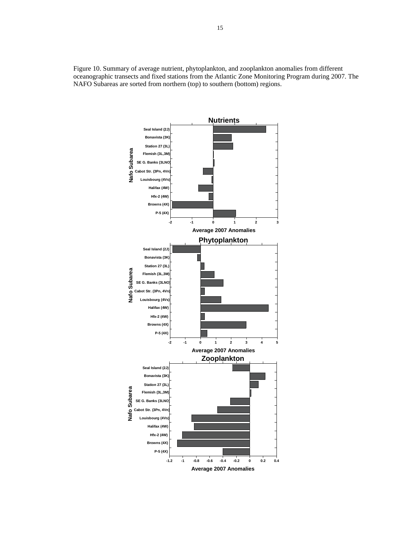Figure 10. Summary of average nutrient, phytoplankton, and zooplankton anomalies from different oceanographic transects and fixed stations from the Atlantic Zone Monitoring Program during 2007. The NAFO Subareas are sorted from northern (top) to southern (bottom) regions.